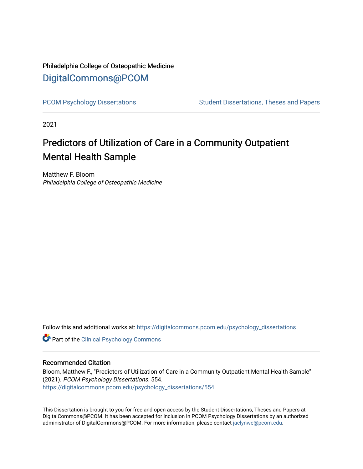# Philadelphia College of Osteopathic Medicine [DigitalCommons@PCOM](https://digitalcommons.pcom.edu/)

[PCOM Psychology Dissertations](https://digitalcommons.pcom.edu/psychology_dissertations) Student Dissertations, Theses and Papers

2021

# Predictors of Utilization of Care in a Community Outpatient Mental Health Sample

Matthew F. Bloom Philadelphia College of Osteopathic Medicine

Follow this and additional works at: [https://digitalcommons.pcom.edu/psychology\\_dissertations](https://digitalcommons.pcom.edu/psychology_dissertations?utm_source=digitalcommons.pcom.edu%2Fpsychology_dissertations%2F554&utm_medium=PDF&utm_campaign=PDFCoverPages)

**Part of the Clinical Psychology Commons** 

#### Recommended Citation

Bloom, Matthew F., "Predictors of Utilization of Care in a Community Outpatient Mental Health Sample" (2021). PCOM Psychology Dissertations. 554. [https://digitalcommons.pcom.edu/psychology\\_dissertations/554](https://digitalcommons.pcom.edu/psychology_dissertations/554?utm_source=digitalcommons.pcom.edu%2Fpsychology_dissertations%2F554&utm_medium=PDF&utm_campaign=PDFCoverPages) 

This Dissertation is brought to you for free and open access by the Student Dissertations, Theses and Papers at DigitalCommons@PCOM. It has been accepted for inclusion in PCOM Psychology Dissertations by an authorized administrator of DigitalCommons@PCOM. For more information, please contact [jaclynwe@pcom.edu.](mailto:jaclynwe@pcom.edu)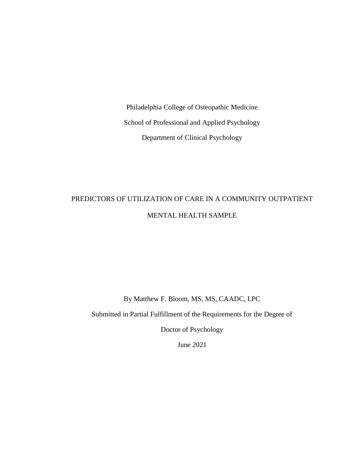Philadelphia College of Osteopathic Medicine School of Professional and Applied Psychology Department of Clinical Psychology

# PREDICTORS OF UTILIZATION OF CARE IN A COMMUNITY OUTPATIENT MENTAL HEALTH SAMPLE

By Matthew F. Bloom, MS, MS, CAADC, LPC

Submitted in Partial Fulfillment of the Requirements for the Degree of

Doctor of Psychology

June 2021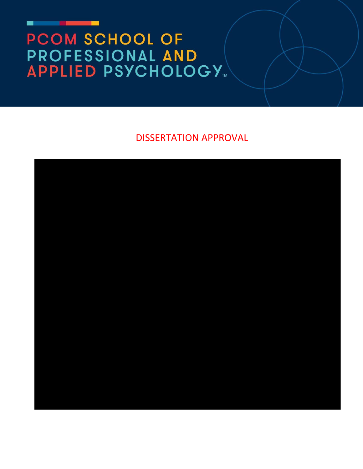# PCOM SCHOOL OF **PROFESSIONAL AND<br>APPLIED PSYCHOLOGY...**

DISSERTATION APPROVAL

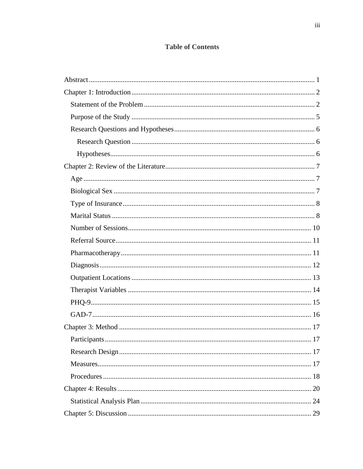# **Table of Contents**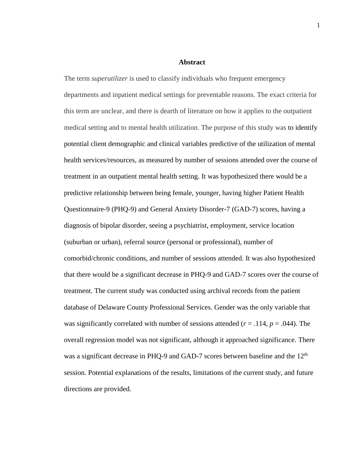#### **Abstract**

The term *superutilizer* is used to classify individuals who frequent emergency departments and inpatient medical settings for preventable reasons. The exact criteria for this term are unclear, and there is dearth of literature on how it applies to the outpatient medical setting and to mental health utilization. The purpose of this study was to identify potential client demographic and clinical variables predictive of the utilization of mental health services/resources, as measured by number of sessions attended over the course of treatment in an outpatient mental health setting. It was hypothesized there would be a predictive relationship between being female, younger, having higher Patient Health Questionnaire-9 (PHQ-9) and General Anxiety Disorder-7 (GAD-7) scores, having a diagnosis of bipolar disorder, seeing a psychiatrist, employment, service location (suburban or urban), referral source (personal or professional), number of comorbid/chronic conditions, and number of sessions attended. It was also hypothesized that there would be a significant decrease in PHQ-9 and GAD-7 scores over the course of treatment. The current study was conducted using archival records from the patient database of Delaware County Professional Services. Gender was the only variable that was significantly correlated with number of sessions attended  $(r = .114, p = .044)$ . The overall regression model was not significant, although it approached significance. There was a significant decrease in PHQ-9 and GAD-7 scores between baseline and the 12<sup>th</sup> session. Potential explanations of the results, limitations of the current study, and future directions are provided.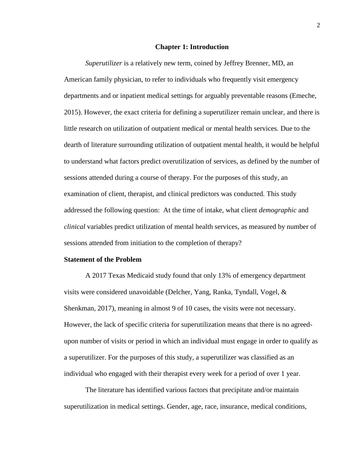#### **Chapter 1: Introduction**

*Superutilizer* is a relatively new term, coined by Jeffrey Brenner, MD, an American family physician, to refer to individuals who frequently visit emergency departments and or inpatient medical settings for arguably preventable reasons (Emeche, 2015). However, the exact criteria for defining a superutilizer remain unclear, and there is little research on utilization of outpatient medical or mental health services. Due to the dearth of literature surrounding utilization of outpatient mental health, it would be helpful to understand what factors predict overutilization of services, as defined by the number of sessions attended during a course of therapy. For the purposes of this study, an examination of client, therapist, and clinical predictors was conducted. This study addressed the following question: At the time of intake, what client *demographic* and *clinical* variables predict utilization of mental health services, as measured by number of sessions attended from initiation to the completion of therapy?

#### **Statement of the Problem**

A 2017 Texas Medicaid study found that only 13% of emergency department visits were considered unavoidable (Delcher, Yang, Ranka, Tyndall, Vogel, & Shenkman, 2017), meaning in almost 9 of 10 cases, the visits were not necessary. However, the lack of specific criteria for superutilization means that there is no agreedupon number of visits or period in which an individual must engage in order to qualify as a superutilizer. For the purposes of this study, a superutilizer was classified as an individual who engaged with their therapist every week for a period of over 1 year.

The literature has identified various factors that precipitate and/or maintain superutilization in medical settings. Gender, age, race, insurance, medical conditions, 2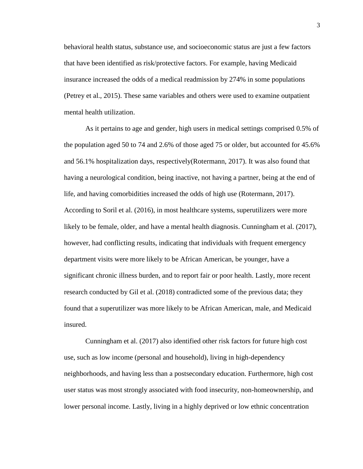behavioral health status, substance use, and socioeconomic status are just a few factors that have been identified as risk/protective factors. For example, having Medicaid insurance increased the odds of a medical readmission by 274% in some populations (Petrey et al., 2015). These same variables and others were used to examine outpatient mental health utilization.

As it pertains to age and gender, high users in medical settings comprised 0.5% of the population aged 50 to 74 and 2.6% of those aged 75 or older, but accounted for 45.6% and 56.1% hospitalization days, respectively(Rotermann, 2017). It was also found that having a neurological condition, being inactive, not having a partner, being at the end of life, and having comorbidities increased the odds of high use (Rotermann, 2017). According to Soril et al. (2016), in most healthcare systems, superutilizers were more likely to be female, older, and have a mental health diagnosis. Cunningham et al. (2017), however, had conflicting results, indicating that individuals with frequent emergency department visits were more likely to be African American, be younger, have a significant chronic illness burden, and to report fair or poor health. Lastly, more recent research conducted by Gil et al. (2018) contradicted some of the previous data; they found that a superutilizer was more likely to be African American, male, and Medicaid insured.

Cunningham et al. (2017) also identified other risk factors for future high cost use, such as low income (personal and household), living in high-dependency neighborhoods, and having less than a postsecondary education. Furthermore, high cost user status was most strongly associated with food insecurity, non-homeownership, and lower personal income. Lastly, living in a highly deprived or low ethnic concentration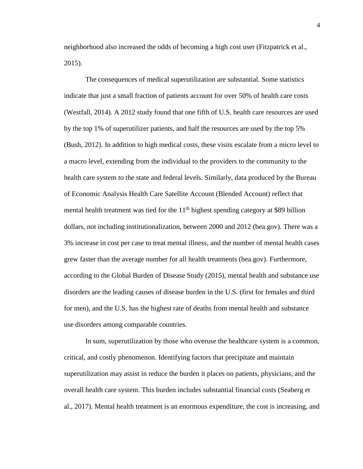neighborhood also increased the odds of becoming a high cost user (Fitzpatrick et al., 2015).

The consequences of medical superutilization are substantial. Some statistics indicate that just a small fraction of patients account for over 50% of health care costs (Westfall, 2014). A 2012 study found that one fifth of U.S. health care resources are used by the top 1% of superutilizer patients, and half the resources are used by the top 5% (Bush, 2012). In addition to high medical costs, these visits escalate from a micro level to a macro level, extending from the individual to the providers to the community to the health care system to the state and federal levels. Similarly, data produced by the Bureau of Economic Analysis Health Care Satellite Account (Blended Account) reflect that mental health treatment was tied for the  $11<sup>th</sup>$  highest spending category at \$89 billion dollars, not including institutionalization, between 2000 and 2012 (bea.gov). There was a 3% increase in cost per case to treat mental illness, and the number of mental health cases grew faster than the average number for all health treatments (bea.gov). Furthermore, according to the Global Burden of Disease Study (2015), mental health and substance use disorders are the leading causes of disease burden in the U.S. (first for females and third for men), and the U.S. has the highest rate of deaths from mental health and substance use disorders among comparable countries.

In sum, superutilization by those who overuse the healthcare system is a common, critical, and costly phenomenon. Identifying factors that precipitate and maintain superutilization may assist in reduce the burden it places on patients, physicians, and the overall health care system. This burden includes substantial financial costs (Seaberg et al., 2017). Mental health treatment is an enormous expenditure, the cost is increasing, and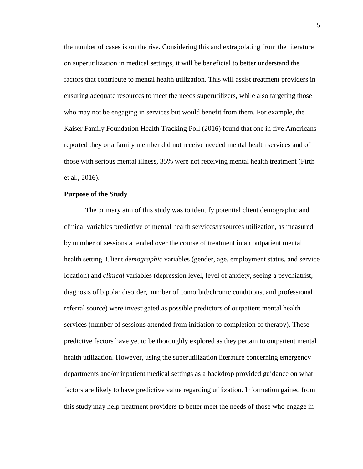the number of cases is on the rise. Considering this and extrapolating from the literature on superutilization in medical settings, it will be beneficial to better understand the factors that contribute to mental health utilization. This will assist treatment providers in ensuring adequate resources to meet the needs superutilizers, while also targeting those who may not be engaging in services but would benefit from them. For example, the Kaiser Family Foundation Health Tracking Poll (2016) found that one in five Americans reported they or a family member did not receive needed mental health services and of those with serious mental illness, 35% were not receiving mental health treatment (Firth et al., 2016).

#### **Purpose of the Study**

The primary aim of this study was to identify potential client demographic and clinical variables predictive of mental health services/resources utilization, as measured by number of sessions attended over the course of treatment in an outpatient mental health setting. Client *demographic* variables (gender, age, employment status, and service location) and *clinical* variables (depression level, level of anxiety, seeing a psychiatrist, diagnosis of bipolar disorder, number of comorbid/chronic conditions, and professional referral source) were investigated as possible predictors of outpatient mental health services (number of sessions attended from initiation to completion of therapy). These predictive factors have yet to be thoroughly explored as they pertain to outpatient mental health utilization. However, using the superutilization literature concerning emergency departments and/or inpatient medical settings as a backdrop provided guidance on what factors are likely to have predictive value regarding utilization. Information gained from this study may help treatment providers to better meet the needs of those who engage in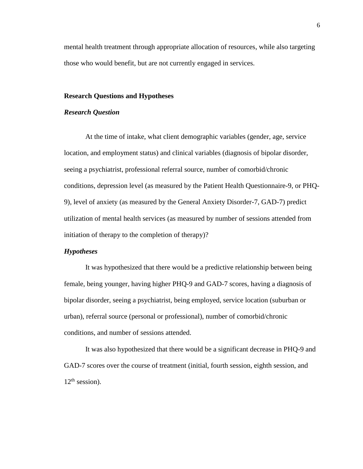mental health treatment through appropriate allocation of resources, while also targeting those who would benefit, but are not currently engaged in services.

#### **Research Questions and Hypotheses**

#### *Research Question*

At the time of intake, what client demographic variables (gender, age, service location, and employment status) and clinical variables (diagnosis of bipolar disorder, seeing a psychiatrist, professional referral source, number of comorbid/chronic conditions, depression level (as measured by the Patient Health Questionnaire-9, or PHQ-9), level of anxiety (as measured by the General Anxiety Disorder-7, GAD-7) predict utilization of mental health services (as measured by number of sessions attended from initiation of therapy to the completion of therapy)?

#### *Hypotheses*

It was hypothesized that there would be a predictive relationship between being female, being younger, having higher PHQ-9 and GAD-7 scores, having a diagnosis of bipolar disorder, seeing a psychiatrist, being employed, service location (suburban or urban), referral source (personal or professional), number of comorbid/chronic conditions, and number of sessions attended.

It was also hypothesized that there would be a significant decrease in PHQ-9 and GAD-7 scores over the course of treatment (initial, fourth session, eighth session, and  $12<sup>th</sup>$  session).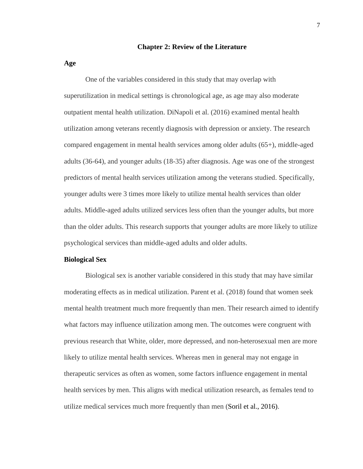#### **Chapter 2: Review of the Literature**

**Age**

One of the variables considered in this study that may overlap with superutilization in medical settings is chronological age, as age may also moderate outpatient mental health utilization. DiNapoli et al. (2016) examined mental health utilization among veterans recently diagnosis with depression or anxiety. The research compared engagement in mental health services among older adults (65+), middle-aged adults (36-64), and younger adults (18-35) after diagnosis. Age was one of the strongest predictors of mental health services utilization among the veterans studied. Specifically, younger adults were 3 times more likely to utilize mental health services than older adults. Middle-aged adults utilized services less often than the younger adults, but more than the older adults. This research supports that younger adults are more likely to utilize psychological services than middle-aged adults and older adults.

#### **Biological Sex**

Biological sex is another variable considered in this study that may have similar moderating effects as in medical utilization. Parent et al. (2018) found that women seek mental health treatment much more frequently than men. Their research aimed to identify what factors may influence utilization among men. The outcomes were congruent with previous research that White, older, more depressed, and non-heterosexual men are more likely to utilize mental health services. Whereas men in general may not engage in therapeutic services as often as women, some factors influence engagement in mental health services by men. This aligns with medical utilization research, as females tend to utilize medical services much more frequently than men (Soril et al., 2016).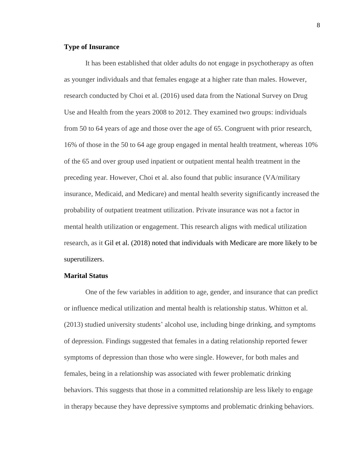#### **Type of Insurance**

It has been established that older adults do not engage in psychotherapy as often as younger individuals and that females engage at a higher rate than males. However, research conducted by Choi et al. (2016) used data from the National Survey on Drug Use and Health from the years 2008 to 2012. They examined two groups: individuals from 50 to 64 years of age and those over the age of 65. Congruent with prior research, 16% of those in the 50 to 64 age group engaged in mental health treatment, whereas 10% of the 65 and over group used inpatient or outpatient mental health treatment in the preceding year. However, Choi et al. also found that public insurance (VA/military insurance, Medicaid, and Medicare) and mental health severity significantly increased the probability of outpatient treatment utilization. Private insurance was not a factor in mental health utilization or engagement. This research aligns with medical utilization research, as it Gil et al. (2018) noted that individuals with Medicare are more likely to be superutilizers.

#### **Marital Status**

One of the few variables in addition to age, gender, and insurance that can predict or influence medical utilization and mental health is relationship status. Whitton et al. (2013) studied university students' alcohol use, including binge drinking, and symptoms of depression. Findings suggested that females in a dating relationship reported fewer symptoms of depression than those who were single. However, for both males and females, being in a relationship was associated with fewer problematic drinking behaviors. This suggests that those in a committed relationship are less likely to engage in therapy because they have depressive symptoms and problematic drinking behaviors.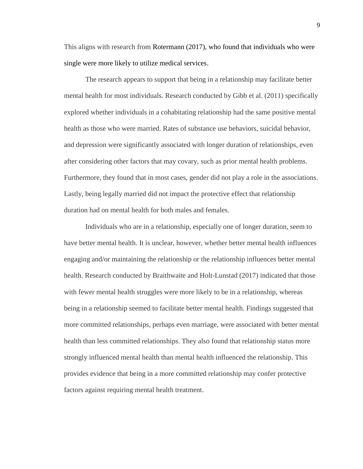This aligns with research from Rotermann (2017), who found that individuals who were single were more likely to utilize medical services.

The research appears to support that being in a relationship may facilitate better mental health for most individuals. Research conducted by Gibb et al. (2011) specifically explored whether individuals in a cohabitating relationship had the same positive mental health as those who were married. Rates of substance use behaviors, suicidal behavior, and depression were significantly associated with longer duration of relationships, even after considering other factors that may covary, such as prior mental health problems. Furthermore, they found that in most cases, gender did not play a role in the associations. Lastly, being legally married did not impact the protective effect that relationship duration had on mental health for both males and females.

Individuals who are in a relationship, especially one of longer duration, seem to have better mental health. It is unclear, however, whether better mental health influences engaging and/or maintaining the relationship or the relationship influences better mental health. Research conducted by Braithwaite and Holt-Lunstad (2017) indicated that those with fewer mental health struggles were more likely to be in a relationship, whereas being in a relationship seemed to facilitate better mental health. Findings suggested that more committed relationships, perhaps even marriage, were associated with better mental health than less committed relationships. They also found that relationship status more strongly influenced mental health than mental health influenced the relationship. This provides evidence that being in a more committed relationship may confer protective factors against requiring mental health treatment.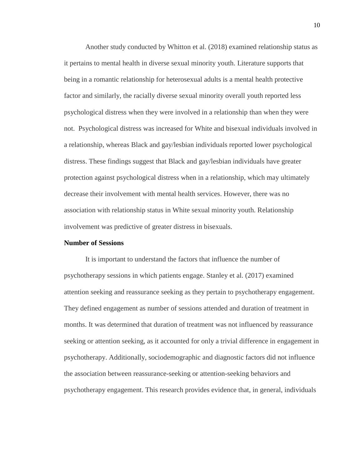Another study conducted by Whitton et al. (2018) examined relationship status as it pertains to mental health in diverse sexual minority youth. Literature supports that being in a romantic relationship for heterosexual adults is a mental health protective factor and similarly, the racially diverse sexual minority overall youth reported less psychological distress when they were involved in a relationship than when they were not. Psychological distress was increased for White and bisexual individuals involved in a relationship, whereas Black and gay/lesbian individuals reported lower psychological distress. These findings suggest that Black and gay/lesbian individuals have greater protection against psychological distress when in a relationship, which may ultimately decrease their involvement with mental health services. However, there was no association with relationship status in White sexual minority youth. Relationship involvement was predictive of greater distress in bisexuals.

#### **Number of Sessions**

It is important to understand the factors that influence the number of psychotherapy sessions in which patients engage. Stanley et al. (2017) examined attention seeking and reassurance seeking as they pertain to psychotherapy engagement. They defined engagement as number of sessions attended and duration of treatment in months. It was determined that duration of treatment was not influenced by reassurance seeking or attention seeking, as it accounted for only a trivial difference in engagement in psychotherapy. Additionally, sociodemographic and diagnostic factors did not influence the association between reassurance-seeking or attention-seeking behaviors and psychotherapy engagement. This research provides evidence that, in general, individuals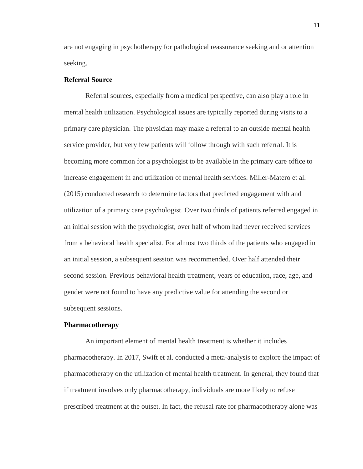are not engaging in psychotherapy for pathological reassurance seeking and or attention seeking.

#### **Referral Source**

Referral sources, especially from a medical perspective, can also play a role in mental health utilization. Psychological issues are typically reported during visits to a primary care physician. The physician may make a referral to an outside mental health service provider, but very few patients will follow through with such referral. It is becoming more common for a psychologist to be available in the primary care office to increase engagement in and utilization of mental health services. Miller-Matero et al. (2015) conducted research to determine factors that predicted engagement with and utilization of a primary care psychologist. Over two thirds of patients referred engaged in an initial session with the psychologist, over half of whom had never received services from a behavioral health specialist. For almost two thirds of the patients who engaged in an initial session, a subsequent session was recommended. Over half attended their second session. Previous behavioral health treatment, years of education, race, age, and gender were not found to have any predictive value for attending the second or subsequent sessions.

#### **Pharmacotherapy**

An important element of mental health treatment is whether it includes pharmacotherapy. In 2017, Swift et al. conducted a meta-analysis to explore the impact of pharmacotherapy on the utilization of mental health treatment. In general, they found that if treatment involves only pharmacotherapy, individuals are more likely to refuse prescribed treatment at the outset. In fact, the refusal rate for pharmacotherapy alone was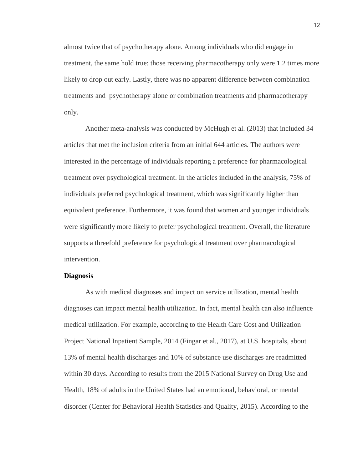almost twice that of psychotherapy alone. Among individuals who did engage in treatment, the same hold true: those receiving pharmacotherapy only were 1.2 times more likely to drop out early. Lastly, there was no apparent difference between combination treatments and psychotherapy alone or combination treatments and pharmacotherapy only.

Another meta-analysis was conducted by McHugh et al. (2013) that included 34 articles that met the inclusion criteria from an initial 644 articles. The authors were interested in the percentage of individuals reporting a preference for pharmacological treatment over psychological treatment. In the articles included in the analysis, 75% of individuals preferred psychological treatment, which was significantly higher than equivalent preference. Furthermore, it was found that women and younger individuals were significantly more likely to prefer psychological treatment. Overall, the literature supports a threefold preference for psychological treatment over pharmacological intervention.

#### **Diagnosis**

As with medical diagnoses and impact on service utilization, mental health diagnoses can impact mental health utilization. In fact, mental health can also influence medical utilization. For example, according to the Health Care Cost and Utilization Project National Inpatient Sample, 2014 (Fingar et al., 2017), at U.S. hospitals, about 13% of mental health discharges and 10% of substance use discharges are readmitted within 30 days. According to results from the 2015 National Survey on Drug Use and Health, 18% of adults in the United States had an emotional, behavioral, or mental disorder (Center for Behavioral Health Statistics and Quality, 2015). According to the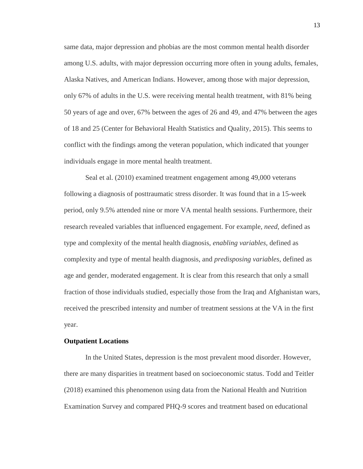same data, major depression and phobias are the most common mental health disorder among U.S. adults, with major depression occurring more often in young adults, females, Alaska Natives, and American Indians. However, among those with major depression, only 67% of adults in the U.S. were receiving mental health treatment, with 81% being 50 years of age and over, 67% between the ages of 26 and 49, and 47% between the ages of 18 and 25 (Center for Behavioral Health Statistics and Quality, 2015). This seems to conflict with the findings among the veteran population, which indicated that younger individuals engage in more mental health treatment.

Seal et al. (2010) examined treatment engagement among 49,000 veterans following a diagnosis of posttraumatic stress disorder. It was found that in a 15-week period, only 9.5% attended nine or more VA mental health sessions. Furthermore, their research revealed variables that influenced engagement. For example, *need,* defined as type and complexity of the mental health diagnosis, *enabling variables,* defined as complexity and type of mental health diagnosis, and *predisposing variables,* defined as age and gender, moderated engagement. It is clear from this research that only a small fraction of those individuals studied, especially those from the Iraq and Afghanistan wars, received the prescribed intensity and number of treatment sessions at the VA in the first year.

#### **Outpatient Locations**

In the United States, depression is the most prevalent mood disorder. However, there are many disparities in treatment based on socioeconomic status. Todd and Teitler (2018) examined this phenomenon using data from the National Health and Nutrition Examination Survey and compared PHQ-9 scores and treatment based on educational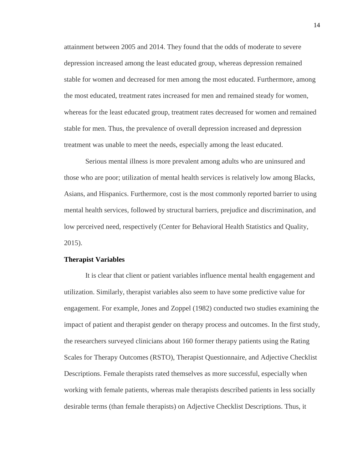attainment between 2005 and 2014. They found that the odds of moderate to severe depression increased among the least educated group, whereas depression remained stable for women and decreased for men among the most educated. Furthermore, among the most educated, treatment rates increased for men and remained steady for women, whereas for the least educated group, treatment rates decreased for women and remained stable for men. Thus, the prevalence of overall depression increased and depression treatment was unable to meet the needs, especially among the least educated.

Serious mental illness is more prevalent among adults who are uninsured and those who are poor; utilization of mental health services is relatively low among Blacks, Asians, and Hispanics. Furthermore, cost is the most commonly reported barrier to using mental health services, followed by structural barriers, prejudice and discrimination, and low perceived need, respectively (Center for Behavioral Health Statistics and Quality, 2015).

#### **Therapist Variables**

It is clear that client or patient variables influence mental health engagement and utilization. Similarly, therapist variables also seem to have some predictive value for engagement. For example, Jones and Zoppel (1982) conducted two studies examining the impact of patient and therapist gender on therapy process and outcomes. In the first study, the researchers surveyed clinicians about 160 former therapy patients using the Rating Scales for Therapy Outcomes (RSTO), Therapist Questionnaire, and Adjective Checklist Descriptions. Female therapists rated themselves as more successful, especially when working with female patients, whereas male therapists described patients in less socially desirable terms (than female therapists) on Adjective Checklist Descriptions. Thus, it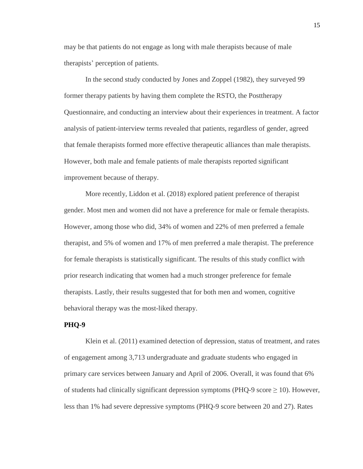may be that patients do not engage as long with male therapists because of male therapists' perception of patients.

In the second study conducted by Jones and Zoppel (1982), they surveyed 99 former therapy patients by having them complete the RSTO, the Posttherapy Questionnaire, and conducting an interview about their experiences in treatment. A factor analysis of patient-interview terms revealed that patients, regardless of gender, agreed that female therapists formed more effective therapeutic alliances than male therapists. However, both male and female patients of male therapists reported significant improvement because of therapy.

More recently, Liddon et al. (2018) explored patient preference of therapist gender. Most men and women did not have a preference for male or female therapists. However, among those who did, 34% of women and 22% of men preferred a female therapist, and 5% of women and 17% of men preferred a male therapist. The preference for female therapists is statistically significant. The results of this study conflict with prior research indicating that women had a much stronger preference for female therapists. Lastly, their results suggested that for both men and women, cognitive behavioral therapy was the most-liked therapy.

#### **PHQ-9**

Klein et al. (2011) examined detection of depression, status of treatment, and rates of engagement among 3,713 undergraduate and graduate students who engaged in primary care services between January and April of 2006. Overall, it was found that 6% of students had clinically significant depression symptoms (PHQ-9 score  $\geq$  10). However, less than 1% had severe depressive symptoms (PHQ-9 score between 20 and 27). Rates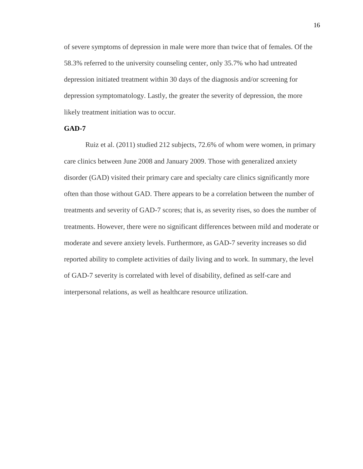of severe symptoms of depression in male were more than twice that of females. Of the 58.3% referred to the university counseling center, only 35.7% who had untreated depression initiated treatment within 30 days of the diagnosis and/or screening for depression symptomatology. Lastly, the greater the severity of depression, the more likely treatment initiation was to occur.

#### **GAD-7**

Ruiz et al. (2011) studied 212 subjects, 72.6% of whom were women, in primary care clinics between June 2008 and January 2009. Those with generalized anxiety disorder (GAD) visited their primary care and specialty care clinics significantly more often than those without GAD. There appears to be a correlation between the number of treatments and severity of GAD-7 scores; that is, as severity rises, so does the number of treatments. However, there were no significant differences between mild and moderate or moderate and severe anxiety levels. Furthermore, as GAD-7 severity increases so did reported ability to complete activities of daily living and to work. In summary, the level of GAD-7 severity is correlated with level of disability, defined as self-care and interpersonal relations, as well as healthcare resource utilization.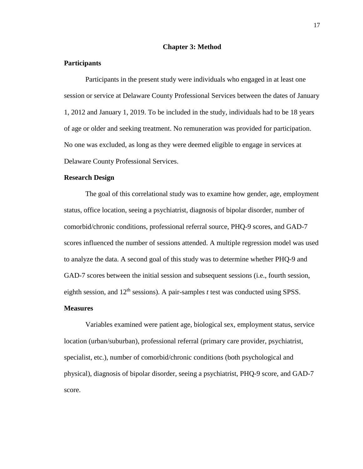#### **Chapter 3: Method**

#### **Participants**

Participants in the present study were individuals who engaged in at least one session or service at Delaware County Professional Services between the dates of January 1, 2012 and January 1, 2019. To be included in the study, individuals had to be 18 years of age or older and seeking treatment. No remuneration was provided for participation. No one was excluded, as long as they were deemed eligible to engage in services at Delaware County Professional Services.

#### **Research Design**

The goal of this correlational study was to examine how gender, age, employment status, office location, seeing a psychiatrist, diagnosis of bipolar disorder, number of comorbid/chronic conditions, professional referral source, PHQ-9 scores, and GAD-7 scores influenced the number of sessions attended. A multiple regression model was used to analyze the data. A second goal of this study was to determine whether PHQ-9 and GAD-7 scores between the initial session and subsequent sessions (i.e., fourth session, eighth session, and  $12<sup>th</sup>$  sessions). A pair-samples *t* test was conducted using SPSS.

#### **Measures**

Variables examined were patient age, biological sex, employment status, service location (urban/suburban), professional referral (primary care provider, psychiatrist, specialist, etc.), number of comorbid/chronic conditions (both psychological and physical), diagnosis of bipolar disorder, seeing a psychiatrist, PHQ-9 score, and GAD-7 score.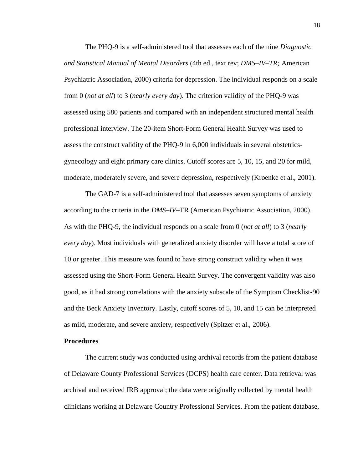The PHQ-9 is a self-administered tool that assesses each of the nine *Diagnostic and Statistical Manual of Mental Disorders* (4th ed., text rev; *DMS–IV–TR;* American Psychiatric Association, 2000) criteria for depression. The individual responds on a scale from 0 (*not at all*) to 3 (*nearly every day*). The criterion validity of the PHQ-9 was assessed using 580 patients and compared with an independent structured mental health professional interview. The 20-item Short-Form General Health Survey was used to assess the construct validity of the PHQ-9 in 6,000 individuals in several obstetricsgynecology and eight primary care clinics. Cutoff scores are 5, 10, 15, and 20 for mild, moderate, moderately severe, and severe depression, respectively (Kroenke et al., 2001).

The GAD-7 is a self-administered tool that assesses seven symptoms of anxiety according to the criteria in the *DMS–IV–*TR (American Psychiatric Association, 2000). As with the PHQ-9, the individual responds on a scale from 0 (*not at all*) to 3 (*nearly every day*). Most individuals with generalized anxiety disorder will have a total score of 10 or greater. This measure was found to have strong construct validity when it was assessed using the Short-Form General Health Survey. The convergent validity was also good, as it had strong correlations with the anxiety subscale of the Symptom Checklist-90 and the Beck Anxiety Inventory. Lastly, cutoff scores of 5, 10, and 15 can be interpreted as mild, moderate, and severe anxiety, respectively (Spitzer et al., 2006).

#### **Procedures**

The current study was conducted using archival records from the patient database of Delaware County Professional Services (DCPS) health care center. Data retrieval was archival and received IRB approval; the data were originally collected by mental health clinicians working at Delaware Country Professional Services. From the patient database,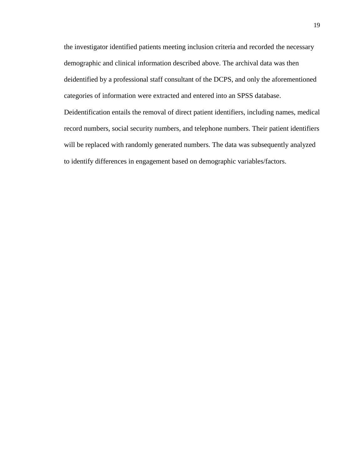the investigator identified patients meeting inclusion criteria and recorded the necessary demographic and clinical information described above. The archival data was then deidentified by a professional staff consultant of the DCPS, and only the aforementioned categories of information were extracted and entered into an SPSS database. Deidentification entails the removal of direct patient identifiers, including names, medical record numbers, social security numbers, and telephone numbers. Their patient identifiers will be replaced with randomly generated numbers. The data was subsequently analyzed to identify differences in engagement based on demographic variables/factors.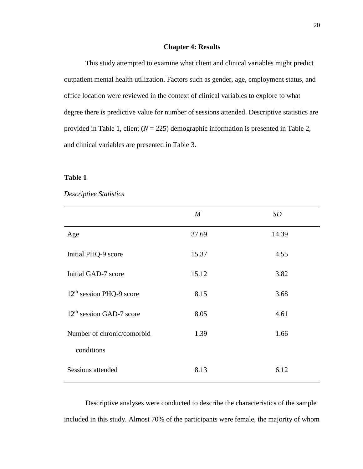#### **Chapter 4: Results**

This study attempted to examine what client and clinical variables might predict outpatient mental health utilization. Factors such as gender, age, employment status, and office location were reviewed in the context of clinical variables to explore to what degree there is predictive value for number of sessions attended. Descriptive statistics are provided in Table 1, client (*N* = 225) demographic information is presented in Table 2, and clinical variables are presented in Table 3.

#### **Table 1**

#### *Descriptive Statistics*

|                                      | $\boldsymbol{M}$ | <i>SD</i> |
|--------------------------------------|------------------|-----------|
| Age                                  | 37.69            | 14.39     |
| Initial PHQ-9 score                  | 15.37            | 4.55      |
| Initial GAD-7 score                  | 15.12            | 3.82      |
| $12th$ session PHQ-9 score           | 8.15             | 3.68      |
| 12 <sup>th</sup> session GAD-7 score | 8.05             | 4.61      |
| Number of chronic/comorbid           | 1.39             | 1.66      |
| conditions                           |                  |           |
| Sessions attended                    | 8.13             | 6.12      |

Descriptive analyses were conducted to describe the characteristics of the sample included in this study. Almost 70% of the participants were female, the majority of whom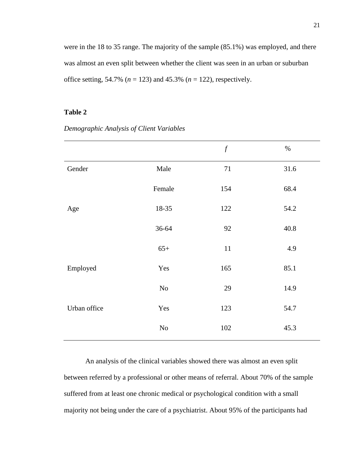were in the 18 to 35 range. The majority of the sample (85.1%) was employed, and there was almost an even split between whether the client was seen in an urban or suburban office setting, 54.7% (*n* = 123) and 45.3% (*n* = 122), respectively.

#### **Table 2**

*Demographic Analysis of Client Variables*

|              |          | $\boldsymbol{f}$ | $\%$ |
|--------------|----------|------------------|------|
| Gender       | Male     | 71               | 31.6 |
|              | Female   | 154              | 68.4 |
| Age          | 18-35    | 122              | 54.2 |
|              | 36-64    | 92               | 40.8 |
|              | $65+$    | $11\,$           | 4.9  |
| Employed     | Yes      | 165              | 85.1 |
|              | $\rm No$ | 29               | 14.9 |
| Urban office | Yes      | 123              | 54.7 |
|              | $\rm No$ | 102              | 45.3 |

An analysis of the clinical variables showed there was almost an even split between referred by a professional or other means of referral. About 70% of the sample suffered from at least one chronic medical or psychological condition with a small majority not being under the care of a psychiatrist. About 95% of the participants had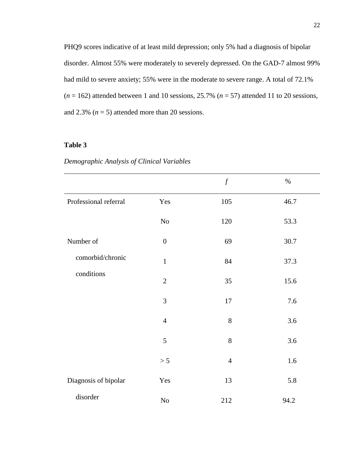PHQ9 scores indicative of at least mild depression; only 5% had a diagnosis of bipolar disorder. Almost 55% were moderately to severely depressed. On the GAD-7 almost 99% had mild to severe anxiety; 55% were in the moderate to severe range. A total of 72.1%  $(n = 162)$  attended between 1 and 10 sessions, 25.7%  $(n = 57)$  attended 11 to 20 sessions, and 2.3%  $(n = 5)$  attended more than 20 sessions.

# **Table 3**

| Demographic Analysis of Clinical Variables |  |  |  |
|--------------------------------------------|--|--|--|
|--------------------------------------------|--|--|--|

|                       |                  | $\boldsymbol{f}$ | $\%$ |
|-----------------------|------------------|------------------|------|
| Professional referral | Yes              | 105              | 46.7 |
|                       | $\rm No$         | 120              | 53.3 |
| Number of             | $\boldsymbol{0}$ | 69               | 30.7 |
| comorbid/chronic      | $\mathbf{1}$     | 84               | 37.3 |
| conditions            | $\overline{2}$   | 35               | 15.6 |
|                       | 3                | 17               | 7.6  |
|                       | $\overline{4}$   | 8                | 3.6  |
|                       | 5                | 8                | 3.6  |
|                       | > 5              | $\overline{4}$   | 1.6  |
| Diagnosis of bipolar  | Yes              | 13               | 5.8  |
| disorder              | $\rm No$         | 212              | 94.2 |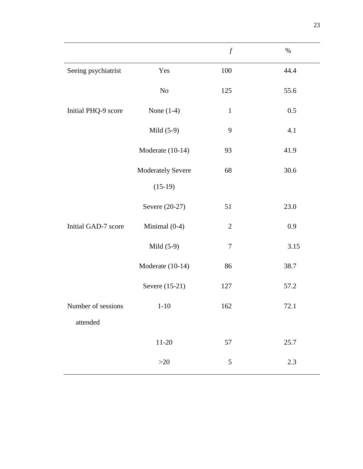|                     |                   | $\boldsymbol{f}$ | $\%$ |
|---------------------|-------------------|------------------|------|
| Seeing psychiatrist | Yes               | 100              | 44.4 |
|                     | No                | 125              | 55.6 |
| Initial PHQ-9 score | None $(1-4)$      | $\mathbf{1}$     | 0.5  |
|                     | Mild $(5-9)$      | 9                | 4.1  |
|                     | Moderate (10-14)  | 93               | 41.9 |
|                     | Moderately Severe | 68               | 30.6 |
|                     | $(15-19)$         |                  |      |
|                     | Severe (20-27)    | 51               | 23.0 |
| Initial GAD-7 score | Minimal (0-4)     | $\mathbf{2}$     | 0.9  |
|                     | Mild $(5-9)$      | $\boldsymbol{7}$ | 3.15 |
|                     | Moderate (10-14)  | 86               | 38.7 |
|                     | Severe (15-21)    | 127              | 57.2 |
| Number of sessions  | $1-10$            | 162              | 72.1 |
| attended            |                   |                  |      |
|                     | $11 - 20$         | 57               | 25.7 |
|                     | $>20$             | 5                | 2.3  |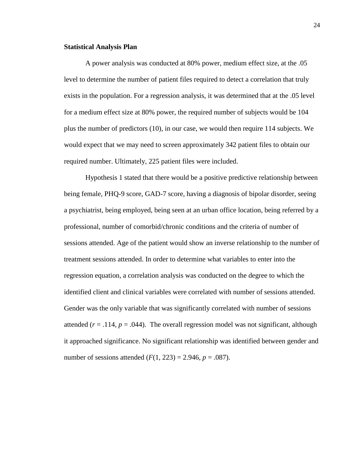#### **Statistical Analysis Plan**

A power analysis was conducted at 80% power, medium effect size, at the .05 level to determine the number of patient files required to detect a correlation that truly exists in the population. For a regression analysis, it was determined that at the .05 level for a medium effect size at 80% power, the required number of subjects would be 104 plus the number of predictors (10), in our case, we would then require 114 subjects. We would expect that we may need to screen approximately 342 patient files to obtain our required number. Ultimately, 225 patient files were included.

Hypothesis 1 stated that there would be a positive predictive relationship between being female, PHQ-9 score, GAD-7 score, having a diagnosis of bipolar disorder, seeing a psychiatrist, being employed, being seen at an urban office location, being referred by a professional, number of comorbid/chronic conditions and the criteria of number of sessions attended. Age of the patient would show an inverse relationship to the number of treatment sessions attended. In order to determine what variables to enter into the regression equation, a correlation analysis was conducted on the degree to which the identified client and clinical variables were correlated with number of sessions attended. Gender was the only variable that was significantly correlated with number of sessions attended  $(r = .114, p = .044)$ . The overall regression model was not significant, although it approached significance. No significant relationship was identified between gender and number of sessions attended  $(F(1, 223) = 2.946, p = .087)$ .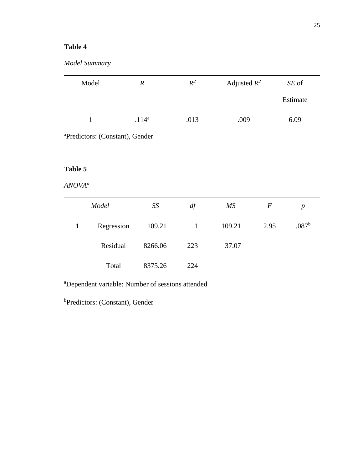# **Table 4**

|  | Model Summary |
|--|---------------|
|--|---------------|

| Model | $\boldsymbol{R}$ | $R^2$ | Adjusted $R^2$ | SE of    |
|-------|------------------|-------|----------------|----------|
|       |                  |       |                | Estimate |
|       | $.114^{a}$       | .013  | .009           | 6.09     |

<sup>a</sup>Predictors: (Constant), Gender

# **Table 5**

# *ANOVA<sup>a</sup>*

| Model      | SS      | df  | MS     | F    | p                 |
|------------|---------|-----|--------|------|-------------------|
| Regression | 109.21  |     | 109.21 | 2.95 | .087 <sup>b</sup> |
| Residual   | 8266.06 | 223 | 37.07  |      |                   |
| Total      | 8375.26 | 224 |        |      |                   |

<sup>a</sup>Dependent variable: Number of sessions attended

<sup>b</sup>Predictors: (Constant), Gender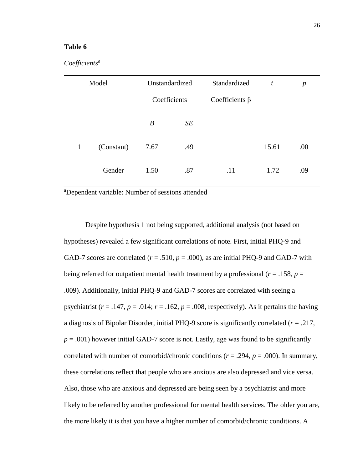#### **Table 6**

#### *Coefficients<sup>a</sup>*

|              | Model      | Unstandardized |     | Standardized         | t     | $\boldsymbol{p}$ |
|--------------|------------|----------------|-----|----------------------|-------|------------------|
|              |            | Coefficients   |     | Coefficients $\beta$ |       |                  |
|              |            | B              | SE  |                      |       |                  |
| $\mathbf{1}$ | (Constant) | 7.67           | .49 |                      | 15.61 | .00              |
|              | Gender     | 1.50           | .87 | .11                  | 1.72  | .09              |

<sup>a</sup>Dependent variable: Number of sessions attended

Despite hypothesis 1 not being supported, additional analysis (not based on hypotheses) revealed a few significant correlations of note. First, initial PHQ-9 and GAD-7 scores are correlated ( $r = .510$ ,  $p = .000$ ), as are initial PHQ-9 and GAD-7 with being referred for outpatient mental health treatment by a professional ( $r = .158$ ,  $p =$ .009). Additionally, initial PHQ-9 and GAD-7 scores are correlated with seeing a psychiatrist ( $r = .147$ ,  $p = .014$ ;  $r = .162$ ,  $p = .008$ , respectively). As it pertains the having a diagnosis of Bipolar Disorder, initial PHQ-9 score is significantly correlated (*r* = .217,  $p = .001$ ) however initial GAD-7 score is not. Lastly, age was found to be significantly correlated with number of comorbid/chronic conditions (*r* = .294, *p* = .000). In summary, these correlations reflect that people who are anxious are also depressed and vice versa. Also, those who are anxious and depressed are being seen by a psychiatrist and more likely to be referred by another professional for mental health services. The older you are, the more likely it is that you have a higher number of comorbid/chronic conditions. A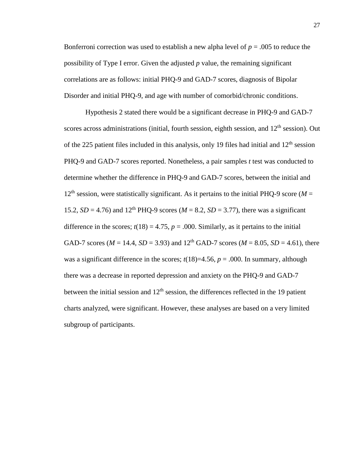Bonferroni correction was used to establish a new alpha level of  $p = .005$  to reduce the possibility of Type I error. Given the adjusted *p* value, the remaining significant correlations are as follows: initial PHQ-9 and GAD-7 scores, diagnosis of Bipolar Disorder and initial PHQ-9, and age with number of comorbid/chronic conditions.

Hypothesis 2 stated there would be a significant decrease in PHQ-9 and GAD-7 scores across administrations (initial, fourth session, eighth session, and  $12<sup>th</sup>$  session). Out of the 225 patient files included in this analysis, only 19 files had initial and  $12<sup>th</sup>$  session PHQ-9 and GAD-7 scores reported. Nonetheless, a pair samples *t* test was conducted to determine whether the difference in PHQ-9 and GAD-7 scores, between the initial and  $12<sup>th</sup>$  session, were statistically significant. As it pertains to the initial PHQ-9 score ( $M =$ 15.2,  $SD = 4.76$ ) and 12<sup>th</sup> PHQ-9 scores ( $M = 8.2$ ,  $SD = 3.77$ ), there was a significant difference in the scores;  $t(18) = 4.75$ ,  $p = .000$ . Similarly, as it pertains to the initial GAD-7 scores ( $M = 14.4$ ,  $SD = 3.93$ ) and  $12<sup>th</sup>$  GAD-7 scores ( $M = 8.05$ ,  $SD = 4.61$ ), there was a significant difference in the scores;  $t(18)=4.56$ ,  $p = .000$ . In summary, although there was a decrease in reported depression and anxiety on the PHQ-9 and GAD-7 between the initial session and  $12<sup>th</sup>$  session, the differences reflected in the 19 patient charts analyzed, were significant. However, these analyses are based on a very limited subgroup of participants.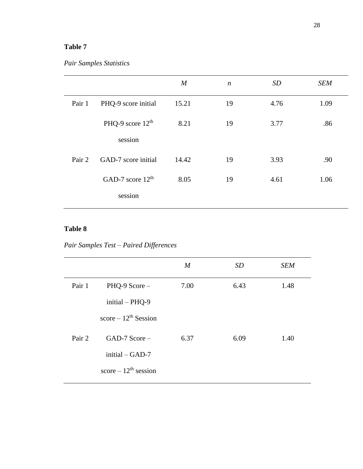# **Table 7**

# *Pair Samples Statistics*

|        |                     | $\boldsymbol{M}$ | $\boldsymbol{n}$ | SD   | <b>SEM</b> |
|--------|---------------------|------------------|------------------|------|------------|
| Pair 1 | PHQ-9 score initial | 15.21            | 19               | 4.76 | 1.09       |
|        | PHQ-9 score $12th$  | 8.21             | 19               | 3.77 | .86        |
|        | session             |                  |                  |      |            |
| Pair 2 | GAD-7 score initial | 14.42            | 19               | 3.93 | .90        |
|        | GAD-7 score $12th$  | 8.05             | 19               | 4.61 | 1.06       |
|        | session             |                  |                  |      |            |

# **Table 8**

*Pair Samples Test – Paired Differences*

|        |                          | $\boldsymbol{M}$ | SD   | <b>SEM</b> |
|--------|--------------------------|------------------|------|------------|
| Pair 1 | $PHQ-9$ Score $-$        | 7.00             | 6.43 | 1.48       |
|        | $initial - PHQ-9$        |                  |      |            |
|        | score $-12^{th}$ Session |                  |      |            |
| Pair 2 | $GAD-7$ Score $-$        | 6.37             | 6.09 | 1.40       |
|        | initial $-GAD-7$         |                  |      |            |
|        | score $-12^{th}$ session |                  |      |            |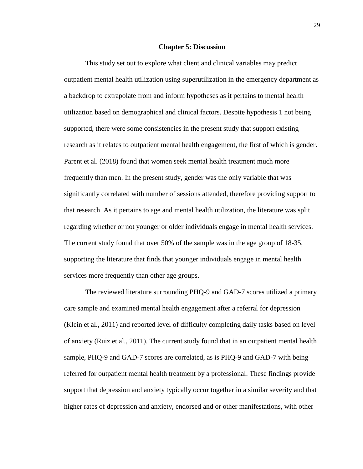#### **Chapter 5: Discussion**

This study set out to explore what client and clinical variables may predict outpatient mental health utilization using superutilization in the emergency department as a backdrop to extrapolate from and inform hypotheses as it pertains to mental health utilization based on demographical and clinical factors. Despite hypothesis 1 not being supported, there were some consistencies in the present study that support existing research as it relates to outpatient mental health engagement, the first of which is gender. Parent et al. (2018) found that women seek mental health treatment much more frequently than men. In the present study, gender was the only variable that was significantly correlated with number of sessions attended, therefore providing support to that research. As it pertains to age and mental health utilization, the literature was split regarding whether or not younger or older individuals engage in mental health services. The current study found that over 50% of the sample was in the age group of 18-35, supporting the literature that finds that younger individuals engage in mental health services more frequently than other age groups.

The reviewed literature surrounding PHQ-9 and GAD-7 scores utilized a primary care sample and examined mental health engagement after a referral for depression (Klein et al., 2011) and reported level of difficulty completing daily tasks based on level of anxiety (Ruiz et al., 2011). The current study found that in an outpatient mental health sample, PHQ-9 and GAD-7 scores are correlated, as is PHQ-9 and GAD-7 with being referred for outpatient mental health treatment by a professional. These findings provide support that depression and anxiety typically occur together in a similar severity and that higher rates of depression and anxiety, endorsed and or other manifestations, with other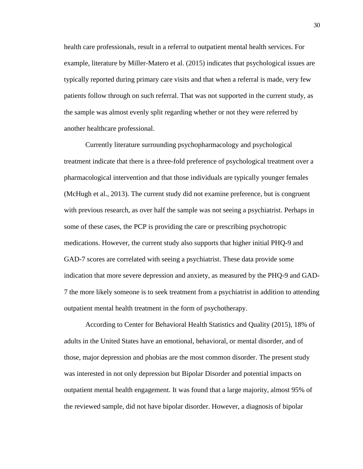health care professionals, result in a referral to outpatient mental health services. For example, literature by Miller-Matero et al. (2015) indicates that psychological issues are typically reported during primary care visits and that when a referral is made, very few patients follow through on such referral. That was not supported in the current study, as the sample was almost evenly split regarding whether or not they were referred by another healthcare professional.

Currently literature surrounding psychopharmacology and psychological treatment indicate that there is a three-fold preference of psychological treatment over a pharmacological intervention and that those individuals are typically younger females (McHugh et al., 2013). The current study did not examine preference, but is congruent with previous research, as over half the sample was not seeing a psychiatrist. Perhaps in some of these cases, the PCP is providing the care or prescribing psychotropic medications. However, the current study also supports that higher initial PHQ-9 and GAD-7 scores are correlated with seeing a psychiatrist. These data provide some indication that more severe depression and anxiety, as measured by the PHQ-9 and GAD-7 the more likely someone is to seek treatment from a psychiatrist in addition to attending outpatient mental health treatment in the form of psychotherapy.

According to Center for Behavioral Health Statistics and Quality (2015), 18% of adults in the United States have an emotional, behavioral, or mental disorder, and of those, major depression and phobias are the most common disorder. The present study was interested in not only depression but Bipolar Disorder and potential impacts on outpatient mental health engagement. It was found that a large majority, almost 95% of the reviewed sample, did not have bipolar disorder. However, a diagnosis of bipolar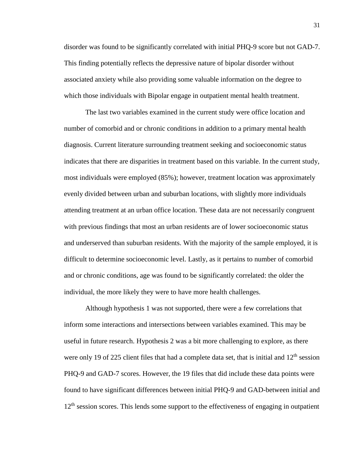disorder was found to be significantly correlated with initial PHQ-9 score but not GAD-7. This finding potentially reflects the depressive nature of bipolar disorder without associated anxiety while also providing some valuable information on the degree to which those individuals with Bipolar engage in outpatient mental health treatment.

The last two variables examined in the current study were office location and number of comorbid and or chronic conditions in addition to a primary mental health diagnosis. Current literature surrounding treatment seeking and socioeconomic status indicates that there are disparities in treatment based on this variable. In the current study, most individuals were employed (85%); however, treatment location was approximately evenly divided between urban and suburban locations, with slightly more individuals attending treatment at an urban office location. These data are not necessarily congruent with previous findings that most an urban residents are of lower socioeconomic status and underserved than suburban residents. With the majority of the sample employed, it is difficult to determine socioeconomic level. Lastly, as it pertains to number of comorbid and or chronic conditions, age was found to be significantly correlated: the older the individual, the more likely they were to have more health challenges.

Although hypothesis 1 was not supported, there were a few correlations that inform some interactions and intersections between variables examined. This may be useful in future research. Hypothesis 2 was a bit more challenging to explore, as there were only 19 of 225 client files that had a complete data set, that is initial and  $12<sup>th</sup>$  session PHQ-9 and GAD-7 scores. However, the 19 files that did include these data points were found to have significant differences between initial PHQ-9 and GAD-between initial and  $12<sup>th</sup>$  session scores. This lends some support to the effectiveness of engaging in outpatient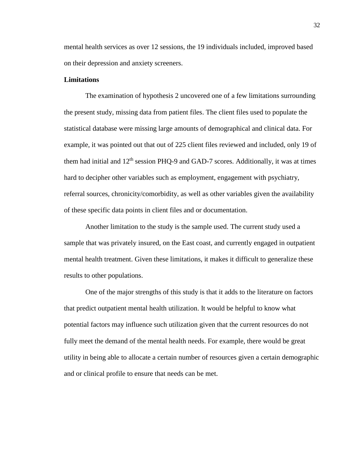mental health services as over 12 sessions, the 19 individuals included, improved based on their depression and anxiety screeners.

#### **Limitations**

The examination of hypothesis 2 uncovered one of a few limitations surrounding the present study, missing data from patient files. The client files used to populate the statistical database were missing large amounts of demographical and clinical data. For example, it was pointed out that out of 225 client files reviewed and included, only 19 of them had initial and  $12<sup>th</sup>$  session PHQ-9 and GAD-7 scores. Additionally, it was at times hard to decipher other variables such as employment, engagement with psychiatry, referral sources, chronicity/comorbidity, as well as other variables given the availability of these specific data points in client files and or documentation.

Another limitation to the study is the sample used. The current study used a sample that was privately insured, on the East coast, and currently engaged in outpatient mental health treatment. Given these limitations, it makes it difficult to generalize these results to other populations.

One of the major strengths of this study is that it adds to the literature on factors that predict outpatient mental health utilization. It would be helpful to know what potential factors may influence such utilization given that the current resources do not fully meet the demand of the mental health needs. For example, there would be great utility in being able to allocate a certain number of resources given a certain demographic and or clinical profile to ensure that needs can be met.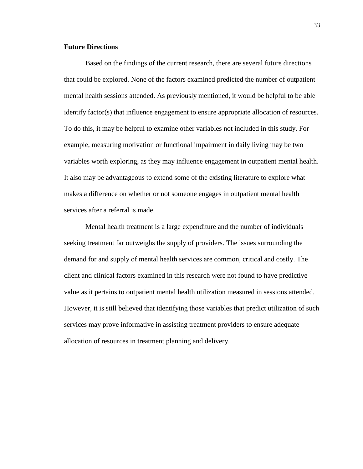#### **Future Directions**

Based on the findings of the current research, there are several future directions that could be explored. None of the factors examined predicted the number of outpatient mental health sessions attended. As previously mentioned, it would be helpful to be able identify factor(s) that influence engagement to ensure appropriate allocation of resources. To do this, it may be helpful to examine other variables not included in this study. For example, measuring motivation or functional impairment in daily living may be two variables worth exploring, as they may influence engagement in outpatient mental health. It also may be advantageous to extend some of the existing literature to explore what makes a difference on whether or not someone engages in outpatient mental health services after a referral is made.

Mental health treatment is a large expenditure and the number of individuals seeking treatment far outweighs the supply of providers. The issues surrounding the demand for and supply of mental health services are common, critical and costly. The client and clinical factors examined in this research were not found to have predictive value as it pertains to outpatient mental health utilization measured in sessions attended. However, it is still believed that identifying those variables that predict utilization of such services may prove informative in assisting treatment providers to ensure adequate allocation of resources in treatment planning and delivery.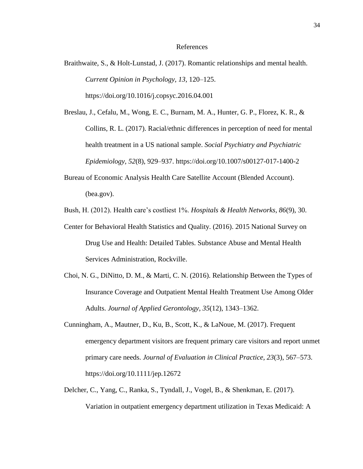#### References

Braithwaite, S., & Holt-Lunstad, J. (2017). Romantic relationships and mental health. *Current Opinion in Psychology, 13,* 120–125. https://doi.org/10.1016/j.copsyc.2016.04.001

Breslau, J., Cefalu, M., Wong, E. C., Burnam, M. A., Hunter, G. P., Florez, K. R., & Collins, R. L. (2017). Racial/ethnic differences in perception of need for mental health treatment in a US national sample. *Social Psychiatry and Psychiatric Epidemiology, 52*(8), 929–937. https://doi.org/10.1007/s00127-017-1400-2

Bureau of Economic Analysis Health Care Satellite Account (Blended Account). (bea.gov).

Bush, H. (2012). Health care's costliest 1%. *Hospitals & Health Networks, 86*(9), 30.

- Center for Behavioral Health Statistics and Quality. (2016). 2015 National Survey on Drug Use and Health: Detailed Tables. Substance Abuse and Mental Health Services Administration, Rockville.
- Choi, N. G., DiNitto, D. M., & Marti, C. N. (2016). Relationship Between the Types of Insurance Coverage and Outpatient Mental Health Treatment Use Among Older Adults. *Journal of Applied Gerontology, 35*(12), 1343–1362.
- Cunningham, A., Mautner, D., Ku, B., Scott, K., & LaNoue, M. (2017). Frequent emergency department visitors are frequent primary care visitors and report unmet primary care needs. *Journal of Evaluation in Clinical Practice, 23*(3), 567–573. https://doi.org/10.1111/jep.12672
- Delcher, C., Yang, C., Ranka, S., Tyndall, J., Vogel, B., & Shenkman, E. (2017). Variation in outpatient emergency department utilization in Texas Medicaid: A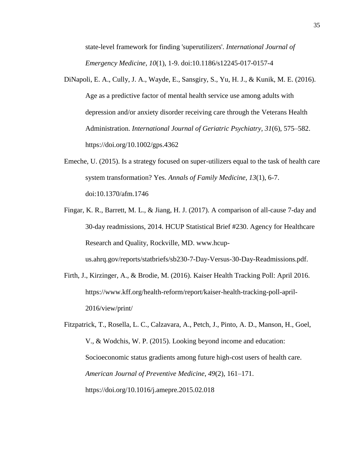state-level framework for finding 'superutilizers'. *International Journal of Emergency Medicine, 10*(1), 1-9. doi:10.1186/s12245-017-0157-4

- DiNapoli, E. A., Cully, J. A., Wayde, E., Sansgiry, S., Yu, H. J., & Kunik, M. E. (2016). Age as a predictive factor of mental health service use among adults with depression and/or anxiety disorder receiving care through the Veterans Health Administration. *International Journal of Geriatric Psychiatry, 31*(6), 575–582. https://doi.org/10.1002/gps.4362
- Emeche, U. (2015). Is a strategy focused on super-utilizers equal to the task of health care system transformation? Yes. *Annals of Family Medicine, 13*(1), 6-7. doi:10.1370/afm.1746
- Fingar, K. R., Barrett, M. L., & Jiang, H. J. (2017). A comparison of all-cause 7-day and 30-day readmissions, 2014. HCUP Statistical Brief #230. Agency for Healthcare Research and Quality, Rockville, MD. www.hcupus.ahrq.gov/reports/statbriefs/sb230-7-Day-Versus-30-Day-Readmissions.pdf.
- Firth, J., Kirzinger, A., & Brodie, M. (2016). Kaiser Health Tracking Poll: April 2016. https://www.kff.org/health-reform/report/kaiser-health-tracking-poll-april-2016/view/print/
- Fitzpatrick, T., Rosella, L. C., Calzavara, A., Petch, J., Pinto, A. D., Manson, H., Goel, V., & Wodchis, W. P. (2015). Looking beyond income and education: Socioeconomic status gradients among future high-cost users of health care. *American Journal of Preventive Medicine*, *49*(2), 161–171. https://doi.org/10.1016/j.amepre.2015.02.018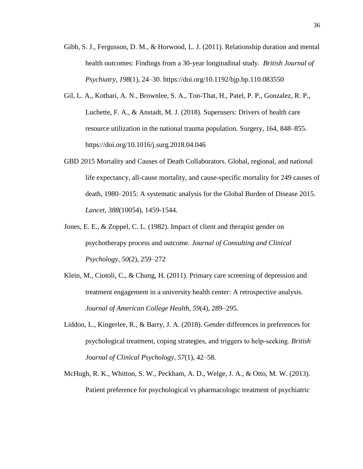- Gibb, S. J., Fergusson, D. M., & Horwood, L. J. (2011). Relationship duration and mental health outcomes: Findings from a 30-year longitudinal study. *British Journal of Psychiatry, 198*(1), 24–30. https://doi.org/10.1192/bjp.bp.110.083550
- Gil, L. A., Kothari, A. N., Brownlee, S. A., Ton-That, H., Patel, P. P., Gonzalez, R. P., Luchette, F. A., & Anstadt, M. J. (2018). Superusers: Drivers of health care resource utilization in the national trauma population. Surgery, 164, 848–855. https://doi.org/10.1016/j.surg.2018.04.046
- GBD 2015 Mortality and Causes of Death Collaborators. Global, regional, and national life expectancy, all-cause mortality, and cause-specific mortality for 249 causes of death, 1980–2015: A systematic analysis for the Global Burden of Disease 2015. *Lancet, 388*(10054), 1459-1544.
- Jones, E. E., & Zoppel, C. L. (1982). Impact of client and therapist gender on psychotherapy process and outcome. *Journal of Consulting and Clinical Psychology, 50*(2), 259–272
- Klein, M., Ciotoli, C., & Chung, H. (2011). Primary care screening of depression and treatment engagement in a university health center: A retrospective analysis. *Journal of American College Health, 59*(4), 289–295.
- Liddon, L., Kingerlee, R., & Barry, J. A. (2018). Gender differences in preferences for psychological treatment, coping strategies, and triggers to help‐seeking. *British Journal of Clinical Psychology, 57*(1), 42–58.
- McHugh, R. K., Whitton, S. W., Peckham, A. D., Welge, J. A., & Otto, M. W. (2013). Patient preference for psychological vs pharmacologic treatment of psychiatric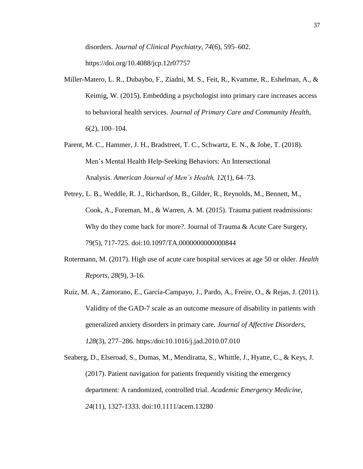disorders. *Journal of Clinical Psychiatry, 74*(6), 595–602. https://doi.org/10.4088/jcp.12r07757

- Miller-Matero, L. R., Dubaybo, F., Ziadni, M. S., Feit, R., Kvamme, R., Eshelman, A., & Keimig, W. (2015). Embedding a psychologist into primary care increases access to behavioral health services. *Journal of Primary Care and Community Health, 6*(2), 100–104.
- Parent, M. C., Hammer, J. H., Bradstreet, T. C., Schwartz, E. N., & Jobe, T. (2018). Men's Mental Health Help-Seeking Behaviors: An Intersectional Analysis. *American Journal of Men's Health, 12*(1), 64–73.
- Petrey, L. B., Weddle, R. J., Richardson, B., Gilder, R., Reynolds, M., Bennett, M., Cook, A., Foreman, M., & Warren, A. M. (2015). Trauma patient readmissions: Why do they come back for more?. Journal of Trauma & Acute Care Surgery, 79(5), 717-725. doi:10.1097/TA.0000000000000844
- Rotermann, M. (2017). High use of acute care hospital services at age 50 or older. *Health Reports, 28*(9), 3-16.
- Ruiz, M. A., Zamorano, E., García-Campayo, J., Pardo, A., Freire, O., & Rejas, J. (2011). Validity of the GAD-7 scale as an outcome measure of disability in patients with generalized anxiety disorders in primary care. *Journal of Affective Disorders, 128*(3), 277–286. https:/doi:10.1016/j.jad.2010.07.010

Seaberg, D., Elseroad, S., Dumas, M., Mendiratta, S., Whittle, J., Hyatte, C., & Keys, J. (2017). Patient navigation for patients frequently visiting the emergency department: A randomized, controlled trial. *Academic Emergency Medicine, 24*(11), 1327-1333. doi:10.1111/acem.13280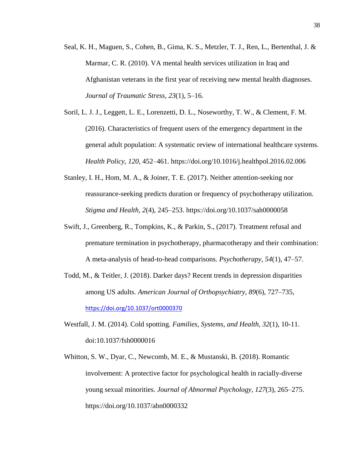- Seal, K. H., Maguen, S., Cohen, B., Gima, K. S., Metzler, T. J., Ren, L., Bertenthal, J. & Marmar, C. R. (2010). VA mental health services utilization in Iraq and Afghanistan veterans in the first year of receiving new mental health diagnoses. *Journal of Traumatic Stress*, *23*(1), 5–16.
- Soril, L. J. J., Leggett, L. E., Lorenzetti, D. L., Noseworthy, T. W., & Clement, F. M. (2016). Characteristics of frequent users of the emergency department in the general adult population: A systematic review of international healthcare systems. *Health Policy, 120*, 452–461. https://doi.org/10.1016/j.healthpol.2016.02.006
- Stanley, I. H., Hom, M. A., & Joiner, T. E. (2017). Neither attention-seeking nor reassurance-seeking predicts duration or frequency of psychotherapy utilization. *Stigma and Health, 2*(4), 245–253. https://doi.org/10.1037/sah0000058
- Swift, J., Greenberg, R., Tompkins, K., & Parkin, S., (2017). Treatment refusal and premature termination in psychotherapy, pharmacotherapy and their combination: A meta-analysis of head-to-head comparisons. *Psychotherapy, 54*(1), 47–57.
- Todd, M., & Teitler, J. (2018). Darker days? Recent trends in depression disparities among US adults. *American Journal of Orthopsychiatry, 89*(6), 727–735, https://doi.org/10.1037/ort0000370
- Westfall, J. M. (2014). Cold spotting. *Families, Systems, and Health, 32*(1), 10-11. doi:10.1037/fsh0000016
- Whitton, S. W., Dyar, C., Newcomb, M. E., & Mustanski, B. (2018). Romantic involvement: A protective factor for psychological health in racially-diverse young sexual minorities. *Journal of Abnormal Psychology, 127*(3), 265–275. https://doi.org/10.1037/abn0000332